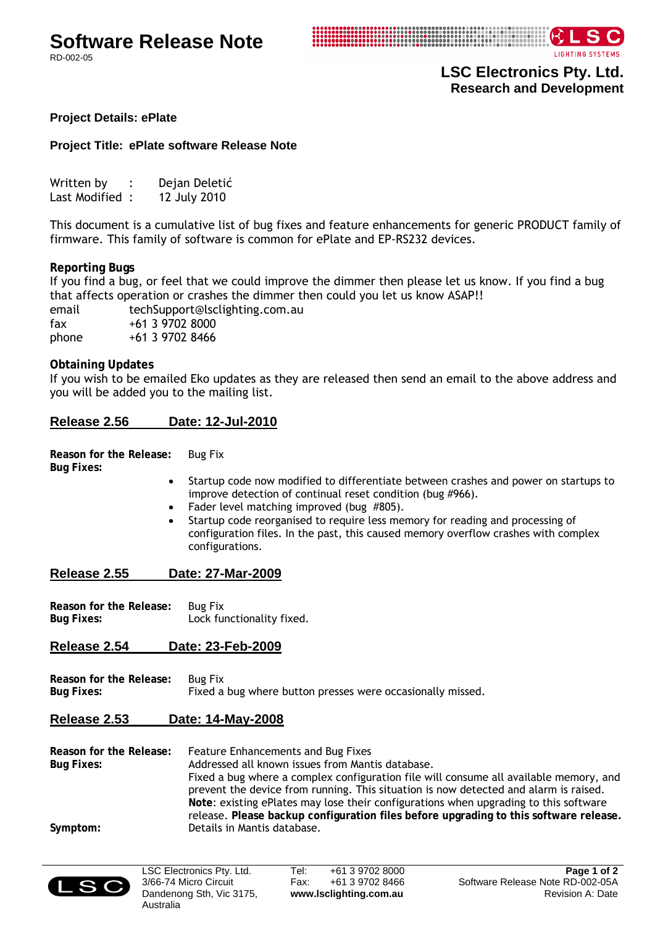# **Software Release Note**

RD-002-05



**LSC Electronics Pty. Ltd. Research and Development** 

## **Project Details: ePlate**

## **Project Title: ePlate software Release Note**

| Written by     | Dejan Deletić |
|----------------|---------------|
| Last Modified: | 12 July 2010  |

This document is a cumulative list of bug fixes and feature enhancements for generic PRODUCT family of firmware. This family of software is common for ePlate and EP-RS232 devices.

## **Reporting Bugs**

If you find a bug, or feel that we could improve the dimmer then please let us know. If you find a bug that affects operation or crashes the dimmer then could you let us know ASAP!!

email techSupport@lsclighting.com.au fax +61 3 9702 8000 phone +61 3 9702 8466

## **Obtaining Updates**

If you wish to be emailed Eko updates as they are released then send an email to the above address and you will be added you to the mailing list.

## **Release 2.56 Date: 12-Jul-2010**

**Reason for the Release:** Bug Fix **Bug Fixes:** 

- Startup code now modified to differentiate between crashes and power on startups to improve detection of continual reset condition (bug #966).
- Fader level matching improved (bug #805).
- Startup code reorganised to require less memory for reading and processing of configuration files. In the past, this caused memory overflow crashes with complex configurations.

#### **Release 2.55 Date: 27-Mar-2009**

| Reason for the Release: | <b>Bug Fix</b>            |
|-------------------------|---------------------------|
| <b>Bug Fixes:</b>       | Lock functionality fixed. |

## **Release 2.54 Date: 23-Feb-2009**

| Reason for the Release: | Bug Fix                                                    |
|-------------------------|------------------------------------------------------------|
| Bug Fixes:              | Fixed a bug where button presses were occasionally missed. |

## **Release 2.53 Date: 14-May-2008**

**Reason for the Release:** Feature Enhancements and Bug Fixes **Bug Fixes:** Addressed all known issues from Mantis database. Fixed a bug where a complex configuration file will consume all available memory, and prevent the device from running. This situation is now detected and alarm is raised. **Note**: existing ePlates may lose their configurations when upgrading to this software release. **Please backup configuration files before upgrading to this software release. Symptom:** Details in Mantis database.



LSC Electronics Pty. Ltd. 3/66-74 Micro Circuit Dandenong Sth, Vic 3175, Australia

Tel: +61 3 9702 8000 Fax: +61 3 9702 8466 **www.lsclighting.com.au**